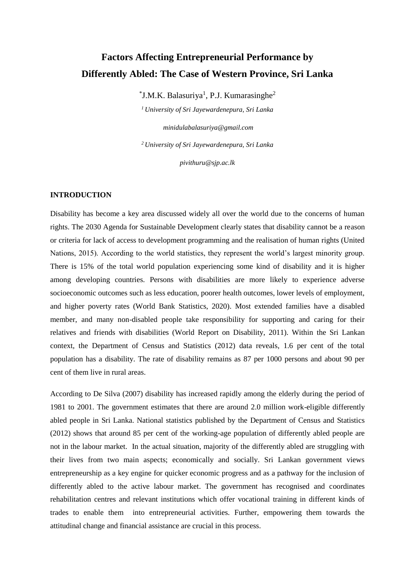# **Factors Affecting Entrepreneurial Performance by Differently Abled: The Case of Western Province, Sri Lanka**

 $\rm ^*J.M.K.$  Balasuriya<sup>1</sup>, P.J. Kumarasinghe<sup>2</sup>

*<sup>1</sup>University of Sri Jayewardenepura, Sri Lanka*

*minidulabalasuriya@gmail.com <sup>2</sup>University of Sri Jayewardenepura, Sri Lanka*

*pivithuru@sjp.ac.lk*

### **INTRODUCTION**

Disability has become a key area discussed widely all over the world due to the concerns of human rights. The 2030 Agenda for Sustainable Development clearly states that disability cannot be a reason or criteria for lack of access to development programming and the realisation of human rights (United Nations, 2015). According to the world statistics, they represent the world's largest minority group. There is 15% of the total world population experiencing some kind of disability and it is higher among developing countries. Persons with disabilities are more likely to experience adverse socioeconomic outcomes such as less education, poorer health outcomes, lower levels of employment, and higher poverty rates (World Bank Statistics, 2020). Most extended families have a disabled member, and many non-disabled people take responsibility for supporting and caring for their relatives and friends with disabilities (World Report on Disability, 2011). Within the Sri Lankan context, the Department of Census and Statistics (2012) data reveals, 1.6 per cent of the total population has a disability. The rate of disability remains as 87 per 1000 persons and about 90 per cent of them live in rural areas.

According to De Silva (2007) disability has increased rapidly among the elderly during the period of 1981 to 2001. The government estimates that there are around 2.0 million work-eligible differently abled people in Sri Lanka. National statistics published by the Department of Census and Statistics (2012) shows that around 85 per cent of the working-age population of differently abled people are not in the labour market. In the actual situation, majority of the differently abled are struggling with their lives from two main aspects; economically and socially. Sri Lankan government views entrepreneurship as a key engine for quicker economic progress and as a pathway for the inclusion of differently abled to the active labour market. The government has recognised and coordinates rehabilitation centres and relevant institutions which offer vocational training in different kinds of trades to enable them into entrepreneurial activities. Further, empowering them towards the attitudinal change and financial assistance are crucial in this process.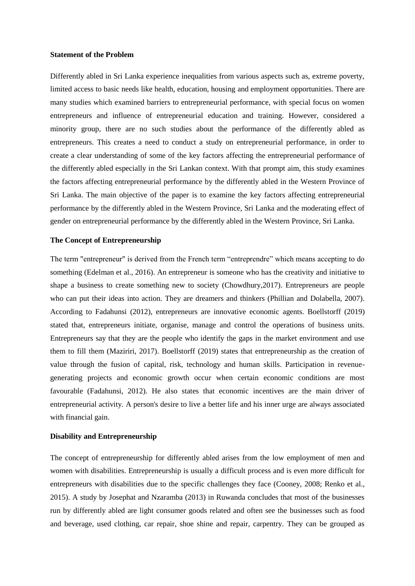#### **Statement of the Problem**

Differently abled in Sri Lanka experience inequalities from various aspects such as, extreme poverty, limited access to basic needs like health, education, housing and employment opportunities. There are many studies which examined barriers to entrepreneurial performance, with special focus on women entrepreneurs and influence of entrepreneurial education and training. However, considered a minority group, there are no such studies about the performance of the differently abled as entrepreneurs. This creates a need to conduct a study on entrepreneurial performance, in order to create a clear understanding of some of the key factors affecting the entrepreneurial performance of the differently abled especially in the Sri Lankan context. With that prompt aim, this study examines the factors affecting entrepreneurial performance by the differently abled in the Western Province of Sri Lanka. The main objective of the paper is to examine the key factors affecting entrepreneurial performance by the differently abled in the Western Province, Sri Lanka and the moderating effect of gender on entrepreneurial performance by the differently abled in the Western Province, Sri Lanka.

### **The Concept of Entrepreneurship**

The term "entrepreneur" is derived from the French term "entreprendre" which means accepting to do something (Edelman et al., 2016). An entrepreneur is someone who has the creativity and initiative to shape a business to create something new to society (Chowdhury,2017). Entrepreneurs are people who can put their ideas into action. They are dreamers and thinkers (Phillian and Dolabella, 2007). According to Fadahunsi (2012), entrepreneurs are innovative economic agents. Boellstorff (2019) stated that, entrepreneurs initiate, organise, manage and control the operations of business units. Entrepreneurs say that they are the people who identify the gaps in the market environment and use them to fill them (Maziriri, 2017). Boellstorff (2019) states that entrepreneurship as the creation of value through the fusion of capital, risk, technology and human skills. Participation in revenuegenerating projects and economic growth occur when certain economic conditions are most favourable (Fadahunsi, 2012). He also states that economic incentives are the main driver of entrepreneurial activity. A person's desire to live a better life and his inner urge are always associated with financial gain.

#### **Disability and Entrepreneurship**

The concept of entrepreneurship for differently abled arises from the low employment of men and women with disabilities. Entrepreneurship is usually a difficult process and is even more difficult for entrepreneurs with disabilities due to the specific challenges they face (Cooney, 2008; Renko et al., 2015). A study by Josephat and Nzaramba (2013) in Ruwanda concludes that most of the businesses run by differently abled are light consumer goods related and often see the businesses such as food and beverage, used clothing, car repair, shoe shine and repair, carpentry. They can be grouped as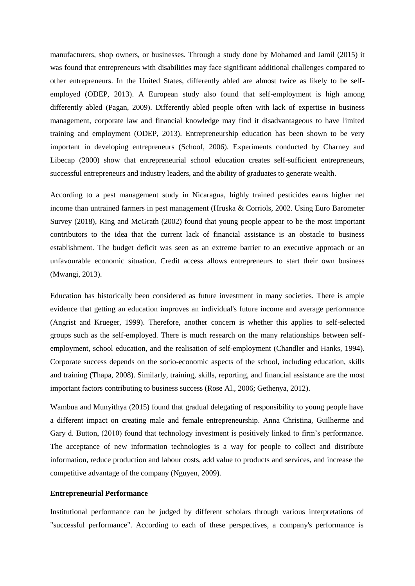manufacturers, shop owners, or businesses. Through a study done by Mohamed and Jamil (2015) it was found that entrepreneurs with disabilities may face significant additional challenges compared to other entrepreneurs. In the United States, differently abled are almost twice as likely to be selfemployed (ODEP, 2013). A European study also found that self-employment is high among differently abled (Pagan, 2009). Differently abled people often with lack of expertise in business management, corporate law and financial knowledge may find it disadvantageous to have limited training and employment (ODEP, 2013). Entrepreneurship education has been shown to be very important in developing entrepreneurs (Schoof, 2006). Experiments conducted by Charney and Libecap (2000) show that entrepreneurial school education creates self-sufficient entrepreneurs, successful entrepreneurs and industry leaders, and the ability of graduates to generate wealth.

According to a pest management study in Nicaragua, highly trained pesticides earns higher net income than untrained farmers in pest management (Hruska & Corriols, 2002. Using Euro Barometer Survey (2018), King and McGrath (2002) found that young people appear to be the most important contributors to the idea that the current lack of financial assistance is an obstacle to business establishment. The budget deficit was seen as an extreme barrier to an executive approach or an unfavourable economic situation. Credit access allows entrepreneurs to start their own business (Mwangi, 2013).

Education has historically been considered as future investment in many societies. There is ample evidence that getting an education improves an individual's future income and average performance (Angrist and Krueger, 1999). Therefore, another concern is whether this applies to self-selected groups such as the self-employed. There is much research on the many relationships between selfemployment, school education, and the realisation of self-employment (Chandler and Hanks, 1994). Corporate success depends on the socio-economic aspects of the school, including education, skills and training (Thapa, 2008). Similarly, training, skills, reporting, and financial assistance are the most important factors contributing to business success (Rose Al., 2006; Gethenya, 2012).

Wambua and Munyithya (2015) found that gradual delegating of responsibility to young people have a different impact on creating male and female entrepreneurship. Anna Christina, Guilherme and Gary d. Button, (2010) found that technology investment is positively linked to firm's performance. The acceptance of new information technologies is a way for people to collect and distribute information, reduce production and labour costs, add value to products and services, and increase the competitive advantage of the company (Nguyen, 2009).

#### **Entrepreneurial Performance**

Institutional performance can be judged by different scholars through various interpretations of "successful performance". According to each of these perspectives, a company's performance is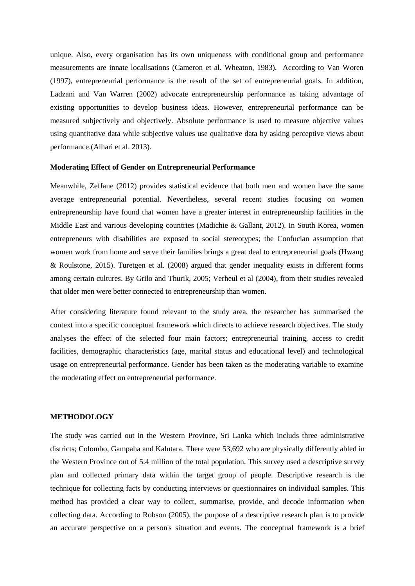unique. Also, every organisation has its own uniqueness with conditional group and performance measurements are innate localisations (Cameron et al. Wheaton, 1983). According to Van Woren (1997), entrepreneurial performance is the result of the set of entrepreneurial goals. In addition, Ladzani and Van Warren (2002) advocate entrepreneurship performance as taking advantage of existing opportunities to develop business ideas. However, entrepreneurial performance can be measured subjectively and objectively. Absolute performance is used to measure objective values using quantitative data while subjective values use qualitative data by asking perceptive views about performance.(Alhari et al. 2013).

### **Moderating Effect of Gender on Entrepreneurial Performance**

Meanwhile, Zeffane (2012) provides statistical evidence that both men and women have the same average entrepreneurial potential. Nevertheless, several recent studies focusing on women entrepreneurship have found that women have a greater interest in entrepreneurship facilities in the Middle East and various developing countries (Madichie & Gallant, 2012). In South Korea, women entrepreneurs with disabilities are exposed to social stereotypes; the Confucian assumption that women work from home and serve their families brings a great deal to entrepreneurial goals (Hwang & Roulstone, 2015). Turetgen et al. (2008) argued that gender inequality exists in different forms among certain cultures. By Grilo and Thurik, 2005; Verheul et al (2004), from their studies revealed that older men were better connected to entrepreneurship than women.

After considering literature found relevant to the study area, the researcher has summarised the context into a specific conceptual framework which directs to achieve research objectives. The study analyses the effect of the selected four main factors; entrepreneurial training, access to credit facilities, demographic characteristics (age, marital status and educational level) and technological usage on entrepreneurial performance. Gender has been taken as the moderating variable to examine the moderating effect on entrepreneurial performance.

### **METHODOLOGY**

The study was carried out in the Western Province, Sri Lanka which includs three administrative districts; Colombo, Gampaha and Kalutara. There were 53,692 who are physically differently abled in the Western Province out of 5.4 million of the total population. This survey used a descriptive survey plan and collected primary data within the target group of people. Descriptive research is the technique for collecting facts by conducting interviews or questionnaires on individual samples. This method has provided a clear way to collect, summarise, provide, and decode information when collecting data. According to Robson (2005), the purpose of a descriptive research plan is to provide an accurate perspective on a person's situation and events. The conceptual framework is a brief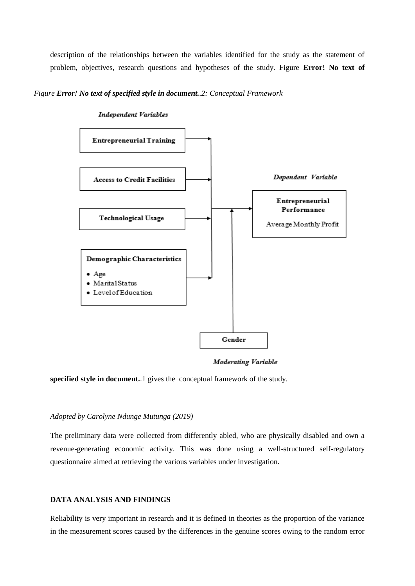description of the relationships between the variables identified for the study as the statement of problem, objectives, research questions and hypotheses of the study. Figure **Error! No text of** 

*Figure Error! No text of specified style in document..2: Conceptual Framework*



**Independent Variables** 

**Moderating Variable** 

**specified style in document.**.1 gives the conceptual framework of the study.

### *Adopted by Carolyne Ndunge Mutunga (2019)*

The preliminary data were collected from differently abled, who are physically disabled and own a revenue-generating economic activity. This was done using a well-structured self-regulatory questionnaire aimed at retrieving the various variables under investigation.

### **DATA ANALYSIS AND FINDINGS**

Reliability is very important in research and it is defined in theories as the proportion of the variance in the measurement scores caused by the differences in the genuine scores owing to the random error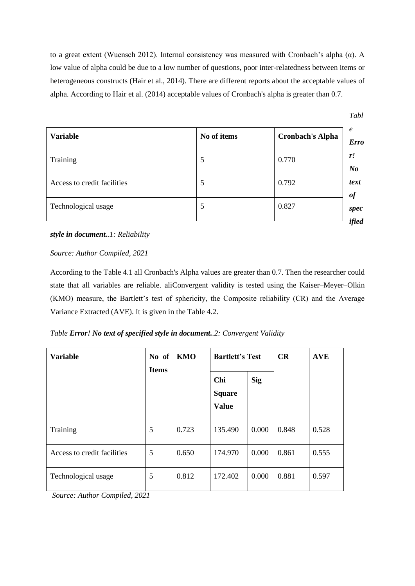to a great extent (Wuensch 2012). Internal consistency was measured with Cronbach's alpha ( $\alpha$ ). A low value of alpha could be due to a low number of questions, poor inter-relatedness between items or heterogeneous constructs (Hair et al., 2014). There are different reports about the acceptable values of alpha. According to Hair et al. (2014) acceptable values of Cronbach's alpha is greater than 0.7.

| <b>Variable</b>             | No of items | <b>Cronbach's Alpha</b> |
|-----------------------------|-------------|-------------------------|
| Training                    | 5           | 0.770                   |
| Access to credit facilities | 5           | 0.792                   |
| Technological usage         | 5           | 0.827                   |

*style in document..1: Reliability*

### *Source: Author Compiled, 2021*

According to the Table 4.1 all Cronbach's Alpha values are greater than 0.7. Then the researcher could state that all variables are reliable. aliConvergent validity is tested using the Kaiser–Meyer–Olkin (KMO) measure, the Bartlett's test of sphericity, the Composite reliability (CR) and the Average Variance Extracted (AVE). It is given in the Table 4.2.

### *Table Error! No text of specified style in document..2: Convergent Validity*

| <b>Variable</b>                                                                     | No of<br><b>KMO</b><br><b>Items</b> |       | <b>Bartlett's Test</b>               |            | CR    | <b>AVE</b> |
|-------------------------------------------------------------------------------------|-------------------------------------|-------|--------------------------------------|------------|-------|------------|
|                                                                                     |                                     |       | Chi<br><b>Square</b><br><b>Value</b> | <b>Sig</b> |       |            |
| Training                                                                            | 5                                   | 0.723 | 135.490                              | 0.000      | 0.848 | 0.528      |
| Access to credit facilities                                                         | 5                                   | 0.650 | 174.970                              | 0.000      | 0.861 | 0.555      |
| Technological usage<br>$\sim$<br>$\cdots$<br>$\mathbf{1}$ $\mathbf{1}$ $\mathbf{2}$ | 5                                   | 0.812 | 172.402                              | 0.000      | 0.881 | 0.597      |

*Source: Author Compiled, 2021*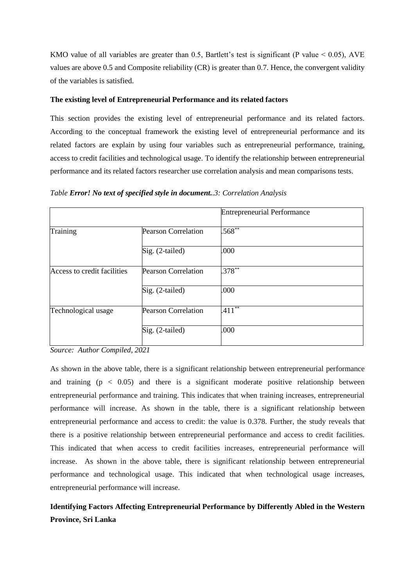KMO value of all variables are greater than 0.5, Bartlett's test is significant (P value  $< 0.05$ ), AVE values are above 0.5 and Composite reliability (CR) is greater than 0.7. Hence, the convergent validity of the variables is satisfied.

### **The existing level of Entrepreneurial Performance and its related factors**

This section provides the existing level of entrepreneurial performance and its related factors. According to the conceptual framework the existing level of entrepreneurial performance and its related factors are explain by using four variables such as entrepreneurial performance, training, access to credit facilities and technological usage. To identify the relationship between entrepreneurial performance and its related factors researcher use correlation analysis and mean comparisons tests.

|                             |                            | <b>Entrepreneurial Performance</b> |
|-----------------------------|----------------------------|------------------------------------|
| Training                    | <b>Pearson Correlation</b> | $.568^{**}$                        |
|                             | Sig. (2-tailed)            | .000                               |
| Access to credit facilities | <b>Pearson Correlation</b> | $.378***$                          |
|                             | Sig. (2-tailed)            | .000                               |
| Technological usage         | <b>Pearson Correlation</b> | $.411***$                          |
|                             | Sig. (2-tailed)            | .000                               |

*Table Error! No text of specified style in document..3: Correlation Analysis*

*Source: Author Compiled, 2021*

As shown in the above table, there is a significant relationship between entrepreneurial performance and training  $(p < 0.05)$  and there is a significant moderate positive relationship between entrepreneurial performance and training. This indicates that when training increases, entrepreneurial performance will increase. As shown in the table, there is a significant relationship between entrepreneurial performance and access to credit: the value is 0.378. Further, the study reveals that there is a positive relationship between entrepreneurial performance and access to credit facilities. This indicated that when access to credit facilities increases, entrepreneurial performance will increase. As shown in the above table, there is significant relationship between entrepreneurial performance and technological usage. This indicated that when technological usage increases, entrepreneurial performance will increase.

**Identifying Factors Affecting Entrepreneurial Performance by Differently Abled in the Western Province, Sri Lanka**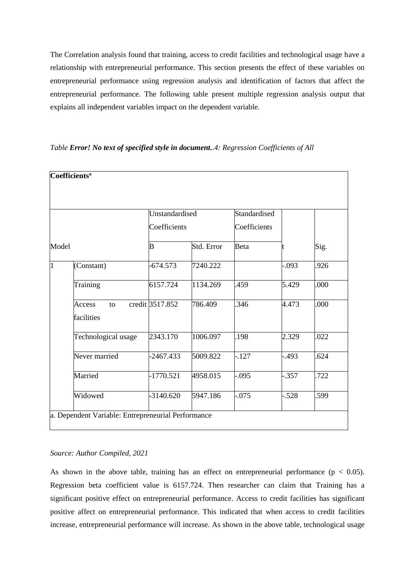The Correlation analysis found that training, access to credit facilities and technological usage have a relationship with entrepreneurial performance. This section presents the effect of these variables on entrepreneurial performance using regression analysis and identification of factors that affect the entrepreneurial performance. The following table present multiple regression analysis output that explains all independent variables impact on the dependent variable.

|       |                            | Unstandardised  |            | Standardised |          |      |
|-------|----------------------------|-----------------|------------|--------------|----------|------|
|       |                            | Coefficients    |            | Coefficients |          |      |
| Model |                            | $\bf{B}$        | Std. Error | Beta         |          | Sig. |
| 1     | (Constant)                 | $-674.573$      | 7240.222   |              | $-0.093$ | .926 |
|       | Training                   | 6157.724        | 1134.269   | .459         | 5.429    | .000 |
|       | Access<br>to<br>facilities | credit 3517.852 | 786.409    | .346         | 4.473    | .000 |
|       | Technological usage        | 2343.170        | 1006.097   | .198         | 2.329    | .022 |
|       | Never married              | $-2467.433$     | 5009.822   | $-.127$      | $-.493$  | 624  |
|       | Married                    | $-1770.521$     | 4958.015   | $-.095$      | $-.357$  | .722 |
|       | Widowed                    | $-3140.620$     | 5947.186   | $-.075$      | $-.528$  | 599  |

### *Table Error! No text of specified style in document..4: Regression Coefficients of All*

### *Source: Author Compiled, 2021*

As shown in the above table, training has an effect on entrepreneurial performance ( $p < 0.05$ ). Regression beta coefficient value is 6157.724. Then researcher can claim that Training has a significant positive effect on entrepreneurial performance. Access to credit facilities has significant positive affect on entrepreneurial performance. This indicated that when access to credit facilities increase, entrepreneurial performance will increase. As shown in the above table, technological usage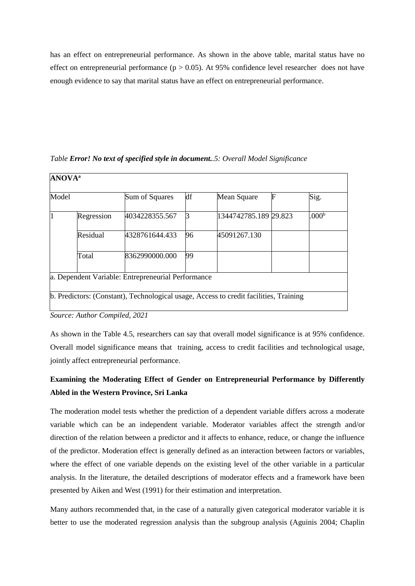has an effect on entrepreneurial performance. As shown in the above table, marital status have no effect on entrepreneurial performance ( $p > 0.05$ ). At 95% confidence level researcher does not have enough evidence to say that marital status have an effect on entrepreneurial performance.

| Model          |            | Sum of Squares | df           | Mean Square           | F | Sig.              |
|----------------|------------|----------------|--------------|-----------------------|---|-------------------|
| $\overline{1}$ | Regression | 4034228355.567 | <sub>3</sub> | 1344742785.189 29.823 |   | .000 <sup>b</sup> |
|                | Residual   | 4328761644.433 | 96           | 45091267.130          |   |                   |
|                | Total      | 8362990000.000 | 99           |                       |   |                   |

*Table Error! No text of specified style in document..5: Overall Model Significance*

*Source: Author Compiled, 2021*

As shown in the Table 4.5, researchers can say that overall model significance is at 95% confidence. Overall model significance means that training, access to credit facilities and technological usage, jointly affect entrepreneurial performance.

## **Examining the Moderating Effect of Gender on Entrepreneurial Performance by Differently Abled in the Western Province, Sri Lanka**

The moderation model tests whether the prediction of a dependent variable differs across a moderate variable which can be an independent variable. Moderator variables affect the strength and/or direction of the relation between a predictor and it affects to enhance, reduce, or change the influence of the predictor. Moderation effect is generally defined as an interaction between factors or variables, where the effect of one variable depends on the existing level of the other variable in a particular analysis. In the literature, the detailed descriptions of moderator effects and a framework have been presented by Aiken and West (1991) for their estimation and interpretation.

Many authors recommended that, in the case of a naturally given categorical moderator variable it is better to use the moderated regression analysis than the subgroup analysis (Aguinis 2004; Chaplin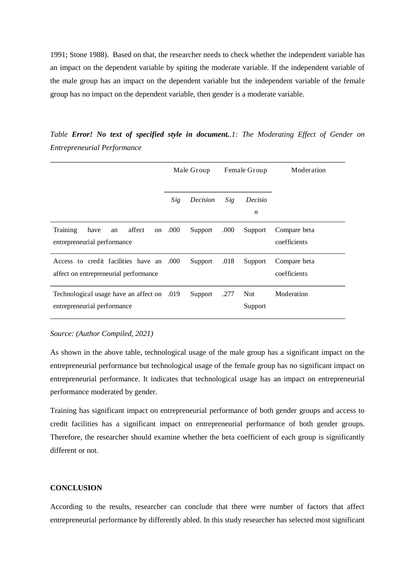1991; Stone 1988). Based on that, the researcher needs to check whether the independent variable has an impact on the dependent variable by spiting the moderate variable. If the independent variable of the male group has an impact on the dependent variable but the independent variable of the female group has no impact on the dependent variable, then gender is a moderate variable.

*Table Error! No text of specified style in document..1: The Moderating Effect of Gender on Entrepreneurial Performance*

|                                                                                   | Male Group |          | Female Group |                | Moderation                   |
|-----------------------------------------------------------------------------------|------------|----------|--------------|----------------|------------------------------|
|                                                                                   | Sig        | Decision | Sig          | Decisio<br>n   |                              |
| affect<br>Training<br>have<br>an<br>entrepreneurial performance                   | on .000    | Support  | .000         | Support        | Compare beta<br>coefficients |
| Access to credit facilities have an .000<br>affect on entrepreneurial performance |            | Support  | .018         | Support        | Compare beta<br>coefficients |
| Technological usage have an affect on .019<br>entrepreneurial performance         |            | Support  | .277         | Not<br>Support | Moderation                   |

*Source: (Author Compiled, 2021)*

As shown in the above table, technological usage of the male group has a significant impact on the entrepreneurial performance but technological usage of the female group has no significant impact on entrepreneurial performance. It indicates that technological usage has an impact on entrepreneurial performance moderated by gender.

Training has significant impact on entrepreneurial performance of both gender groups and access to credit facilities has a significant impact on entrepreneurial performance of both gender groups. Therefore, the researcher should examine whether the beta coefficient of each group is significantly different or not.

### **CONCLUSION**

According to the results, researcher can conclude that there were number of factors that affect entrepreneurial performance by differently abled. In this study researcher has selected most significant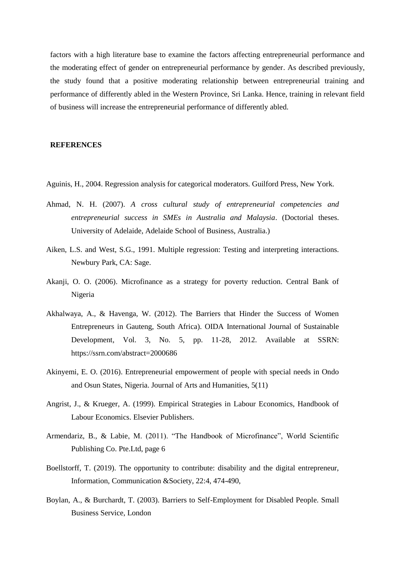factors with a high literature base to examine the factors affecting entrepreneurial performance and the moderating effect of gender on entrepreneurial performance by gender. As described previously, the study found that a positive moderating relationship between entrepreneurial training and performance of differently abled in the Western Province, Sri Lanka. Hence, training in relevant field of business will increase the entrepreneurial performance of differently abled.

### **REFERENCES**

Aguinis, H., 2004. Regression analysis for categorical moderators. Guilford Press, New York.

- Ahmad, N. H. (2007). *A cross cultural study of entrepreneurial competencies and entrepreneurial success in SMEs in Australia and Malaysia*. (Doctorial theses. University of Adelaide, Adelaide School of Business, Australia.)
- Aiken, L.S. and West, S.G., 1991. Multiple regression: Testing and interpreting interactions. Newbury Park, CA: Sage.
- Akanji, O. O. (2006). Microfinance as a strategy for poverty reduction. Central Bank of Nigeria
- [Akhalwaya, A., & Havenga, W. \(2012\). The Barriers that Hinder the Success of Women](https://ssrn.com/abstract%3D2000686)  [Entrepreneurs in Gauteng, South Africa\). OIDA International Journal of Sustainable](https://ssrn.com/abstract%3D2000686)  [Development, Vol. 3, No. 5, pp. 11-28, 2012. Available at SSRN:](https://ssrn.com/abstract%3D2000686)  [https://ssrn.com/abstract=2000686](https://ssrn.com/abstract%3D2000686)
- Akinyemi, E. O. (2016). Entrepreneurial empowerment of people with special needs in Ondo and Osun States, Nigeria. Journal of Arts and Humanities, 5(11)
- Angrist, J., & Krueger, A. (1999). Empirical Strategies in Labour Economics, Handbook of Labour Economics. Elsevier Publishers.
- Armendariz, B., & Labie, M. (2011). "The Handbook of Microfinance", World Scientific Publishing Co. Pte.Ltd, page 6
- Boellstorff, T. (2019). The opportunity to contribute: disability and the digital entrepreneur, Information, Communication &Society, 22:4, 474-490,
- Boylan, A., & Burchardt, T. (2003). Barriers to Self-Employment for Disabled People. Small Business Service, London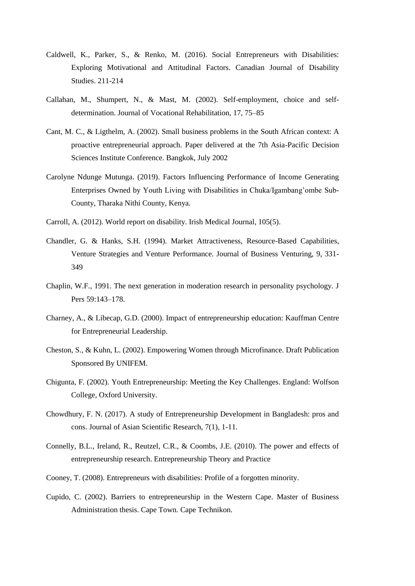- Caldwell, K., Parker, S., & Renko, M. (2016). Social Entrepreneurs with Disabilities: Exploring Motivational and Attitudinal Factors. Canadian Journal of Disability Studies. 211-214
- Callahan, M., Shumpert, N., & Mast, M. (2002). Self-employment, choice and selfdetermination. Journal of Vocational Rehabilitation, 17, 75–85
- Cant, M. C., & Ligthelm, A. (2002). Small business problems in the South African context: A proactive entrepreneurial approach. Paper delivered at the 7th Asia-Pacific Decision Sciences Institute Conference. Bangkok, July 2002
- Carolyne Ndunge Mutunga. (2019). Factors Influencing Performance of Income Generating Enterprises Owned by Youth Living with Disabilities in Chuka/Igambang'ombe Sub-County, Tharaka Nithi County, Kenya.
- Carroll, A. (2012). World report on disability. Irish Medical Journal, 105(5).
- Chandler, G. & Hanks, S.H. (1994). Market Attractiveness, Resource-Based Capabilities, Venture Strategies and Venture Performance. Journal of Business Venturing, 9, 331- 349
- Chaplin, W.F., 1991. The next generation in moderation research in personality psychology. J Pers 59:143–178.
- Charney, A., & Libecap, G.D. (2000). Impact of entrepreneurship education: Kauffman Centre for Entrepreneurial Leadership.
- Cheston, S., & Kuhn, L. (2002). Empowering Women through Microfinance. Draft Publication Sponsored By UNIFEM.
- Chigunta, F. (2002). Youth Entrepreneurship: Meeting the Key Challenges. England: Wolfson College, Oxford University.
- Chowdhury, F. N. (2017). A study of Entrepreneurship Development in Bangladesh: pros and cons. Journal of Asian Scientific Research, 7(1), 1-11.
- Connelly, B.L., Ireland, R., Reutzel, C.R., & Coombs, J.E. (2010). The power and effects of entrepreneurship research. Entrepreneurship Theory and Practice
- Cooney, T. (2008). Entrepreneurs with disabilities: Profile of a forgotten minority.
- Cupido, C. (2002). Barriers to entrepreneurship in the Western Cape. Master of Business Administration thesis. Cape Town. Cape Technikon.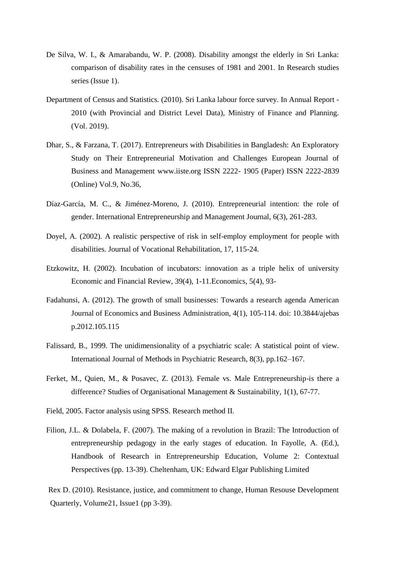- De Silva, W. I., & Amarabandu, W. P. (2008). Disability amongst the elderly in Sri Lanka: comparison of disability rates in the censuses of 1981 and 2001. In Research studies series (Issue 1).
- Department of Census and Statistics. (2010). Sri Lanka labour force survey. In Annual Report 2010 (with Provincial and District Level Data), Ministry of Finance and Planning. (Vol. 2019).
- [Dhar, S., & Farzana, T. \(2017\). Entrepreneurs with Disabilities in Bangladesh: An Exploratory](http://www.iiste.org/)  [Study on Their Entrepreneurial Motivation and Challenges European Journal of](http://www.iiste.org/)  [Business and Management www.iiste.org ISSN 2222-](http://www.iiste.org/) 1905 (Paper) ISSN 2222-2839 [\(Online\) Vol.9, No.36,](http://www.iiste.org/)
- Díaz-García, M. C., & Jiménez-Moreno, J. (2010). Entrepreneurial intention: the role of gender. International Entrepreneurship and Management Journal, 6(3), 261-283.
- Doyel, A. (2002). A realistic perspective of risk in self-employ employment for people with disabilities. Journal of Vocational Rehabilitation, 17, 115-24.
- Etzkowitz, H. (2002). Incubation of incubators: innovation as a triple helix of university Economic and Financial Review, 39(4), 1-11.Economics, 5(4), 93-
- Fadahunsi, A. (2012). The growth of small businesses: Towards a research agenda American Journal of Economics and Business Administration, 4(1), 105-114. doi: 10.3844/ajebas p.2012.105.115
- Falissard, B., 1999. The unidimensionality of a psychiatric scale: A statistical point of view. International Journal of Methods in Psychiatric Research, 8(3), pp.162–167.
- Ferket, M., Quien, M., & Posavec, Z. (2013). Female vs. Male Entrepreneurship-is there a difference? Studies of Organisational Management & Sustainability, 1(1), 67-77.
- Field, 2005. Factor analysis using SPSS. Research method II.
- Filion, J.L. & Dolabela, F. (2007). The making of a revolution in Brazil: The Introduction of entrepreneurship pedagogy in the early stages of education. In Fayolle, A. (Ed.), Handbook of Research in Entrepreneurship Education, Volume 2: Contextual Perspectives (pp. 13-39). Cheltenham, UK: Edward Elgar Publishing Limited
- Rex D. (2010). Resistance, justice, and commitment to change, Human Resouse Development Quarterly, Volume21, Issue1 (pp 3-39).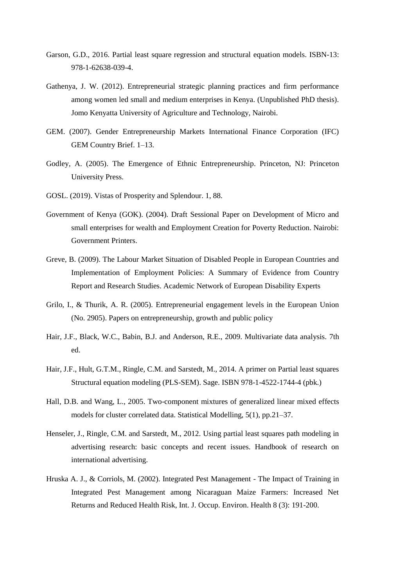- Garson, G.D., 2016. Partial least square regression and structural equation models. ISBN-13: 978-1-62638-039-4.
- Gathenya, J. W. (2012). Entrepreneurial strategic planning practices and firm performance among women led small and medium enterprises in Kenya. (Unpublished PhD thesis). Jomo Kenyatta University of Agriculture and Technology, Nairobi.
- GEM. (2007). Gender Entrepreneurship Markets International Finance Corporation (IFC) GEM Country Brief. 1–13.
- Godley, A. (2005). The Emergence of Ethnic Entrepreneurship. Princeton, NJ: Princeton University Press.
- GOSL. (2019). Vistas of Prosperity and Splendour. 1, 88.
- Government of Kenya (GOK). (2004). Draft Sessional Paper on Development of Micro and small enterprises for wealth and Employment Creation for Poverty Reduction. Nairobi: Government Printers.
- Greve, B. (2009). The Labour Market Situation of Disabled People in European Countries and Implementation of Employment Policies: A Summary of Evidence from Country Report and Research Studies. Academic Network of European Disability Experts
- Grilo, I., & Thurik, A. R. (2005). Entrepreneurial engagement levels in the European Union (No. 2905). Papers on entrepreneurship, growth and public policy
- Hair, J.F., Black, W.C., Babin, B.J. and Anderson, R.E., 2009. Multivariate data analysis. 7th ed.
- Hair, J.F., Hult, G.T.M., Ringle, C.M. and Sarstedt, M., 2014. A primer on Partial least squares Structural equation modeling (PLS-SEM). Sage. ISBN 978-1-4522-1744-4 (pbk.)
- Hall, D.B. and Wang, L., 2005. Two-component mixtures of generalized linear mixed effects models for cluster correlated data. Statistical Modelling, 5(1), pp.21–37.
- Henseler, J., Ringle, C.M. and Sarstedt, M., 2012. Using partial least squares path modeling in advertising research: basic concepts and recent issues. Handbook of research on international advertising.
- Hruska A. J., & Corriols, M. (2002). Integrated Pest Management The Impact of Training in Integrated Pest Management among Nicaraguan Maize Farmers: Increased Net Returns and Reduced Health Risk, Int. J. Occup. Environ. Health 8 (3): 191-200.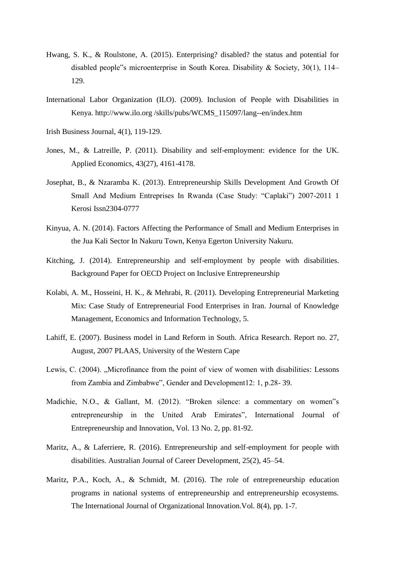- Hwang, S. K., & Roulstone, A. (2015). Enterprising? disabled? the status and potential for disabled people"s microenterprise in South Korea. Disability & Society, 30(1), 114– 129.
- [International Labor Organization \(ILO\). \(2009\). Inclusion of People with Disabilities in](http://www.ilo.org/)  [Kenya. http://www.ilo.org /skills/pubs/WCMS\\_115097/lang--en/index.htm](http://www.ilo.org/)
- Irish Business Journal, 4(1), 119-129.
- Jones, M., & Latreille, P. (2011). Disability and self-employment: evidence for the UK. Applied Economics, 43(27), 4161-4178.
- Josephat, B., & Nzaramba K. (2013). Entrepreneurship Skills Development And Growth Of Small And Medium Entreprises In Rwanda (Case Study: "Caplaki") 2007-2011 1 Kerosi Issn2304-0777
- Kinyua, A. N. (2014). Factors Affecting the Performance of Small and Medium Enterprises in the Jua Kali Sector In Nakuru Town, Kenya Egerton University Nakuru.
- Kitching, J. (2014). Entrepreneurship and self-employment by people with disabilities. Background Paper for OECD Project on Inclusive Entrepreneurship
- Kolabi, A. M., Hosseini, H. K., & Mehrabi, R. (2011). Developing Entrepreneurial Marketing Mix: Case Study of Entrepreneurial Food Enterprises in Iran. Journal of Knowledge Management, Economics and Information Technology, 5.
- Lahiff, E. (2007). Business model in Land Reform in South. Africa Research. Report no. 27, August, 2007 PLAAS, University of the Western Cape
- Lewis, C. (2004). "Microfinance from the point of view of women with disabilities: Lessons from Zambia and Zimbabwe", Gender and Development12: 1, p.28- 39.
- Madichie, N.O., & Gallant, M. (2012). "Broken silence: a commentary on women"s entrepreneurship in the United Arab Emirates", International Journal of Entrepreneurship and Innovation, Vol. 13 No. 2, pp. 81-92.
- Maritz, A., & Laferriere, R. (2016). Entrepreneurship and self-employment for people with disabilities. Australian Journal of Career Development, 25(2), 45–54.
- Maritz, P.A., Koch, A., & Schmidt, M. (2016). The role of entrepreneurship education programs in national systems of entrepreneurship and entrepreneurship ecosystems. The International Journal of Organizational Innovation.Vol. 8(4), pp. 1-7.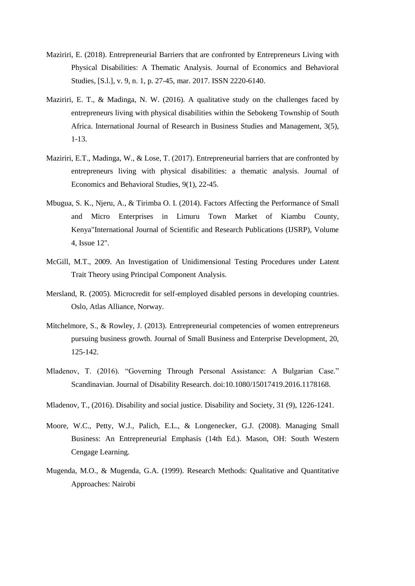- Maziriri, E. (2018). Entrepreneurial Barriers that are confronted by Entrepreneurs Living with Physical Disabilities: A Thematic Analysis. Journal of Economics and Behavioral Studies, [S.l.], v. 9, n. 1, p. 27-45, mar. 2017. ISSN 2220-6140.
- Maziriri, E. T., & Madinga, N. W. (2016). A qualitative study on the challenges faced by entrepreneurs living with physical disabilities within the Sebokeng Township of South Africa. International Journal of Research in Business Studies and Management, 3(5), 1-13.
- Maziriri, E.T., Madinga, W., & Lose, T. (2017). Entrepreneurial barriers that are confronted by entrepreneurs living with physical disabilities: a thematic analysis. Journal of Economics and Behavioral Studies, 9(1), 22-45.
- Mbugua, S. K., Njeru, A., & Tirimba O. I. (2014). Factors Affecting the Performance of Small and Micro Enterprises in Limuru Town Market of Kiambu County, Kenya"International Journal of Scientific and Research Publications (IJSRP), Volume 4, Issue 12".
- McGill, M.T., 2009. An Investigation of Unidimensional Testing Procedures under Latent Trait Theory using Principal Component Analysis.
- Mersland, R. (2005). Microcredit for self-employed disabled persons in developing countries. Oslo, Atlas Alliance, Norway.
- Mitchelmore, S., & Rowley, J. (2013). Entrepreneurial competencies of women entrepreneurs pursuing business growth. Journal of Small Business and Enterprise Development, 20, 125-142.
- Mladenov, T. (2016). "Governing Through Personal Assistance: A Bulgarian Case." Scandinavian. Journal of Disability Research. doi:10.1080/15017419.2016.1178168.
- Mladenov, T., (2016). Disability and social justice. Disability and Society, 31 (9), 1226-1241.
- Moore, W.C., Petty, W.J., Palich, E.L., & Longenecker, G.J. (2008). Managing Small Business: An Entrepreneurial Emphasis (14th Ed.). Mason, OH: South Western Cengage Learning.
- Mugenda, M.O., & Mugenda, G.A. (1999). Research Methods: Qualitative and Quantitative Approaches: Nairobi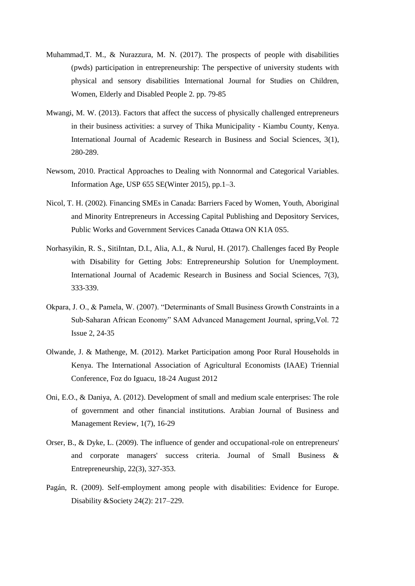- Muhammad,T. M., & Nurazzura, M. N. (2017). The prospects of people with disabilities (pwds) participation in entrepreneurship: The perspective of university students with physical and sensory disabilities International Journal for Studies on Children, Women, Elderly and Disabled People 2. pp. 79-85
- Mwangi, M. W. (2013). Factors that affect the success of physically challenged entrepreneurs in their business activities: a survey of Thika Municipality - Kiambu County, Kenya. International Journal of Academic Research in Business and Social Sciences, 3(1), 280-289.
- Newsom, 2010. Practical Approaches to Dealing with Nonnormal and Categorical Variables. Information Age, USP 655 SE(Winter 2015), pp.1–3.
- Nicol, T. H. (2002). Financing SMEs in Canada: Barriers Faced by Women, Youth, Aboriginal and Minority Entrepreneurs in Accessing Capital Publishing and Depository Services, Public Works and Government Services Canada Ottawa ON K1A 0S5.
- Norhasyikin, R. S., SitiIntan, D.I., Alia, A.I., & Nurul, H. (2017). Challenges faced By People with Disability for Getting Jobs: Entrepreneurship Solution for Unemployment. International Journal of Academic Research in Business and Social Sciences, 7(3), 333-339.
- Okpara, J. O., & Pamela, W. (2007). "Determinants of Small Business Growth Constraints in a Sub-Saharan African Economy" SAM Advanced Management Journal, spring,Vol. 72 Issue 2, 24-35
- Olwande, J. & Mathenge, M. (2012). Market Participation among Poor Rural Households in Kenya. The International Association of Agricultural Economists (IAAE) Triennial Conference, Foz do Iguacu, 18-24 August 2012
- Oni, E.O., & Daniya, A. (2012). Development of small and medium scale enterprises: The role of government and other financial institutions. Arabian Journal of Business and Management Review, 1(7), 16-29
- Orser, B., & Dyke, L. (2009). The influence of gender and occupational-role on entrepreneurs' and corporate managers' success criteria. Journal of Small Business & Entrepreneurship, 22(3), 327-353.
- Pagán, R. (2009). Self-employment among people with disabilities: Evidence for Europe. Disability &Society 24(2): 217–229.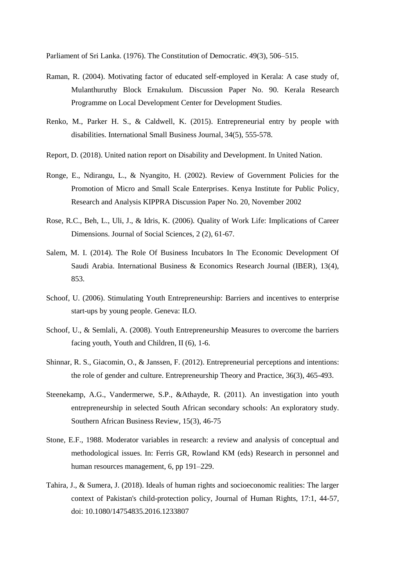Parliament of Sri Lanka. (1976). The Constitution of Democratic. 49(3), 506–515.

- Raman, R. (2004). Motivating factor of educated self-employed in Kerala: A case study of, Mulanthuruthy Block Ernakulum. Discussion Paper No. 90. Kerala Research Programme on Local Development Center for Development Studies.
- Renko, M., Parker H. S., & Caldwell, K. (2015). Entrepreneurial entry by people with disabilities. International Small Business Journal, 34(5), 555-578.
- Report, D. (2018). United nation report on Disability and Development. In United Nation.
- Ronge, E., Ndirangu, L., & Nyangito, H. (2002). Review of Government Policies for the Promotion of Micro and Small Scale Enterprises. Kenya Institute for Public Policy, Research and Analysis KIPPRA Discussion Paper No. 20, November 2002
- Rose, R.C., Beh, L., Uli, J., & Idris, K. (2006). Quality of Work Life: Implications of Career Dimensions. Journal of Social Sciences, 2 (2), 61-67.
- Salem, M. I. (2014). The Role Of Business Incubators In The Economic Development Of Saudi Arabia. International Business & Economics Research Journal (IBER), 13(4), 853.
- Schoof, U. (2006). Stimulating Youth Entrepreneurship: Barriers and incentives to enterprise start-ups by young people. Geneva: ILO.
- Schoof, U., & Semlali, A. (2008). Youth Entrepreneurship Measures to overcome the barriers facing youth, Youth and Children, II (6), 1-6.
- Shinnar, R. S., Giacomin, O., & Janssen, F. (2012). Entrepreneurial perceptions and intentions: the role of gender and culture. Entrepreneurship Theory and Practice, 36(3), 465-493.
- Steenekamp, A.G., Vandermerwe, S.P., &Athayde, R. (2011). An investigation into youth entrepreneurship in selected South African secondary schools: An exploratory study. Southern African Business Review, 15(3), 46-75
- Stone, E.F., 1988. Moderator variables in research: a review and analysis of conceptual and methodological issues. In: Ferris GR, Rowland KM (eds) Research in personnel and human resources management, 6, pp 191–229.
- [Tahira, J., & Sumera, J. \(2018\). Ideals of human rights and socioeconomic realities: The larger](https://doi.org/10.1080/14754835.2016.1233807)  [context of Pakistan's child-protection policy, Journal of Human Rights, 17:1, 44-57,](https://doi.org/10.1080/14754835.2016.1233807)  [doi: 10.1080/14754835.2016.1233807](https://doi.org/10.1080/14754835.2016.1233807)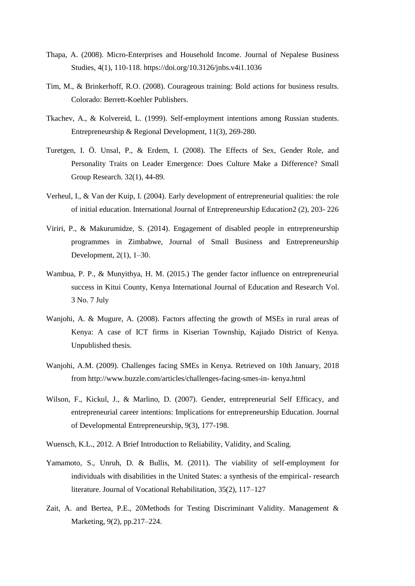- [Thapa, A. \(2008\). Micro-Enterprises and Household Income. Journal of Nepalese Business](https://doi.org/10.3126/jnbs.v4i1.1036)  [Studies, 4\(1\), 110-118. https://doi.org/10.3126/jnbs.v4i1.1036](https://doi.org/10.3126/jnbs.v4i1.1036)
- Tim, M., & Brinkerhoff, R.O. (2008). Courageous training: Bold actions for business results. Colorado: Berrett-Koehler Publishers.
- Tkachev, A., & Kolvereid, L. (1999). Self-employment intentions among Russian students. Entrepreneurship & Regional Development, 11(3), 269-280.
- Turetgen, I. Ö. Unsal, P., & Erdem, I. (2008). The Effects of Sex, Gender Role, and Personality Traits on Leader Emergence: Does Culture Make a Difference? Small Group Research. 32(1), 44-89.
- Verheul, I., & Van der Kuip, I. (2004). Early development of entrepreneurial qualities: the role of initial education. International Journal of Entrepreneurship Education2 (2), 203- 226
- Viriri, P., & Makurumidze, S. (2014). Engagement of disabled people in entrepreneurship programmes in Zimbabwe, Journal of Small Business and Entrepreneurship Development, 2(1), 1–30.
- Wambua, P. P., & Munyithya, H. M. (2015.) The gender factor influence on entrepreneurial success in Kitui County, Kenya International Journal of Education and Research Vol. 3 No. 7 July
- Wanjohi, A. & Mugure, A. (2008). Factors affecting the growth of MSEs in rural areas of Kenya: A case of ICT firms in Kiserian Township, Kajiado District of Kenya. Unpublished thesis.
- Wanjohi, A.M. (2009). Challenges facing SMEs in Kenya. Retrieved on 10th January, 2018 from http://www.buzzle.com/articles/challenges-facing-smes-in- kenya.html
- Wilson, F., Kickul, J., & Marlino, D. (2007). Gender, entrepreneurial Self Efficacy, and entrepreneurial career intentions: Implications for entrepreneurship Education. Journal of Developmental Entrepreneurship, 9(3), 177-198.
- Wuensch, K.L., 2012. A Brief Introduction to Reliability, Validity, and Scaling.
- Yamamoto, S., Unruh, D. & Bullis, M. (2011). The viability of self-employment for individuals with disabilities in the United States: a synthesis of the empirical- research literature. Journal of Vocational Rehabilitation, 35(2), 117–127
- Zait, A. and Bertea, P.E., 20Methods for Testing Discriminant Validity. Management & Marketing, 9(2), pp.217–224.